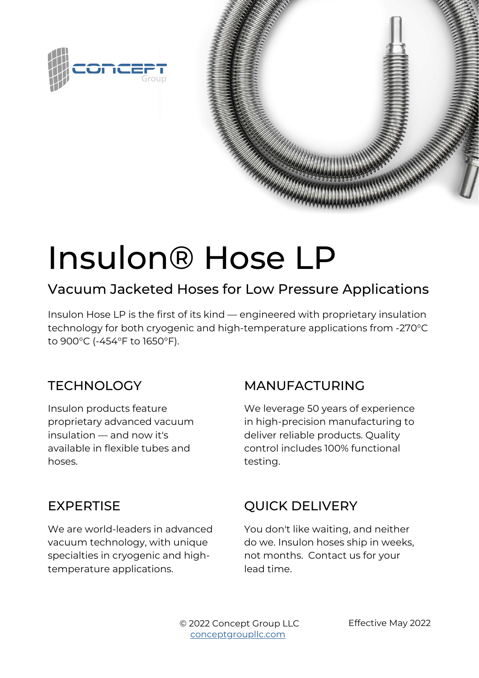



# Insulon® Hose LP

## Vacuum Jacketed Hoses for Low Pressure Applications

Insulon Hose LP is the first of its kind — engineered with proprietary insulation technology for both cryogenic and high-temperature applications from -270°C to 900°C (-454°F to 1650°F).

#### **TECHNOLOGY**

Insulon products feature proprietary advanced vacuum insulation — and now it's available in flexible tubes and hoses.

#### MANUFACTURING

We leverage 50 years of experience in high-precision manufacturing to deliver reliable products. Quality control includes 100% functional testing.

#### EXPERTISE

We are world-leaders in advanced vacuum technology, with unique specialties in cryogenic and hightemperature applications.

### QUICK DELIVERY

You don't like waiting, and neither do we. Insulon hoses ship in weeks, not months. Contact us for your lead time.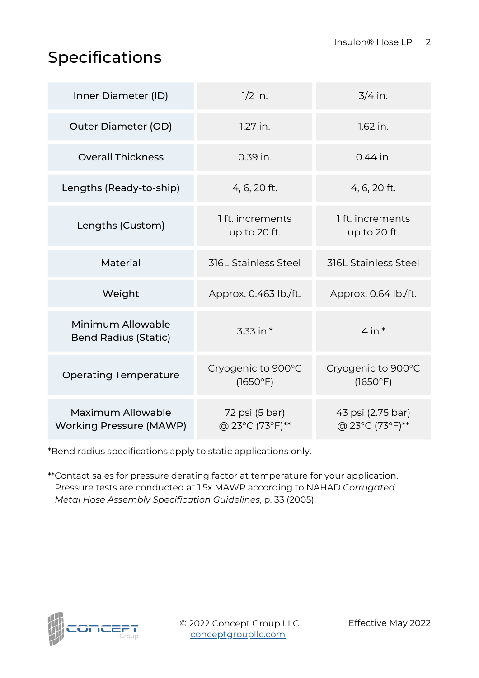## Specifications

| Inner Diameter (ID)                                 | $1/2$ in.                         | $3/4$ in.                            |
|-----------------------------------------------------|-----------------------------------|--------------------------------------|
| <b>Outer Diameter (OD)</b>                          | $1.27$ in.                        | $1.62$ in.                           |
| <b>Overall Thickness</b>                            | 0.39 in.                          | $0.44$ in.                           |
| Lengths (Ready-to-ship)                             | 4, 6, 20 ft.                      | 4, 6, 20 ft.                         |
| Lengths (Custom)                                    | 1 ft. increments<br>up to 20 ft.  | 1 ft. increments<br>up to 20 ft.     |
| Material                                            | <b>316L Stainless Steel</b>       | <b>316L Stainless Steel</b>          |
| Weight                                              | Approx. 0.463 lb./ft.             | Approx. 0.64 lb./ft.                 |
| Minimum Allowable<br><b>Bend Radius (Static)</b>    | 3.33 in.*                         | $4$ in.*                             |
| <b>Operating Temperature</b>                        | Cryogenic to 900°C<br>(1650°F)    | Cryogenic to 900°C<br>(1650°F)       |
| Maximum Allowable<br><b>Working Pressure (MAWP)</b> | 72 psi (5 bar)<br>@ 23°C (73°F)** | 43 psi (2.75 bar)<br>@ 23°C (73°F)** |

\*Bend radius specifications apply to static applications only.

\*\*[Contact sales](https://conceptgroupllc.com/contact/vacuum-insulated-tubing-submit-an-inquiry/?Ls=Other&Ld=standard+hose+data+sheet+pdf&utm_source=data%2520sheet&utm_medium=pdf&utm_campaign=Standard%2520Tubing&utm_term=standard%2520hoses&utm_content=effective%2520april%25202022) for pressure derating factor at temperature for your application. Pressure tests are conducted at 1.5x MAWP according to NAHAD *Corrugated Metal Hose Assembly Specification Guidelines*, p. 33 (2005).



© 2022 Concept Group LLC [conceptgroupllc.com](https://conceptgroupllc.com/?Ls=Other&Ld=standard%20hose%20data%20sheet%20pdf%20may%202022&utm_source=data%20sheet&utm_medium=pdf&utm_campaign=Standard%20Tubing&utm_term=standard%20hoses&utm_content=effective%20may%202022)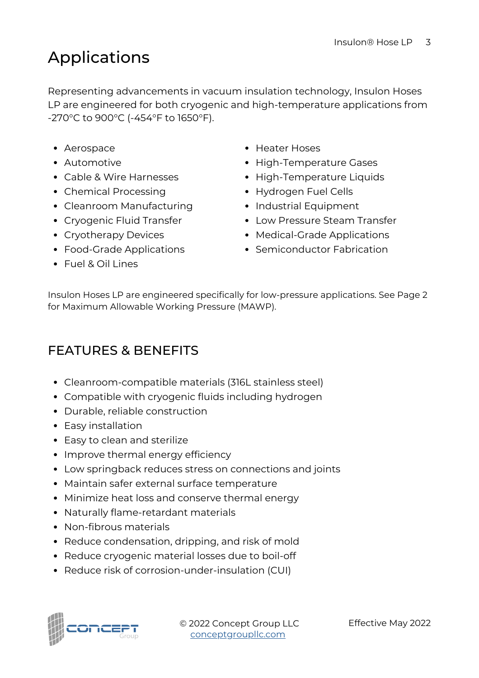# Applications

Representing advancements in vacuum insulation technology, Insulon Hoses LP are engineered for both cryogenic and high-temperature applications from -270°C to 900°C (-454°F to 1650°F).

- Aerospace
- Automotive
- Cable & Wire Harnesses
- Chemical Processing
- Cleanroom Manufacturing
- Cryogenic Fluid Transfer
- Cryotherapy Devices
- Food-Grade Applications
- Fuel & Oil Lines
- Heater Hoses
- High-Temperature Gases
- High-Temperature Liquids
- Hydrogen Fuel Cells
- Industrial Equipment
- Low Pressure Steam Transfer
- Medical-Grade Applications
- Semiconductor Fabrication

Insulon Hoses LP are engineered specifically for low-pressure applications. See Page 2 for Maximum Allowable Working Pressure (MAWP).

#### FEATURES & BENEFITS

- Cleanroom-compatible materials (316L stainless steel)
- Compatible with cryogenic fluids including hydrogen
- Durable, reliable construction
- Easy installation
- Easy to clean and sterilize
- Improve thermal energy efficiency
- Low springback reduces stress on connections and joints
- Maintain safer external surface temperature
- Minimize heat loss and conserve thermal energy
- Naturally flame-retardant materials
- Non-fibrous materials
- Reduce condensation, dripping, and risk of mold
- Reduce cryogenic material losses due to boil-off
- Reduce risk of corrosion-under-insulation (CUI)



© 2022 Concept Group LLC [conceptgroupllc.com](https://conceptgroupllc.com/?Ls=Other&Ld=standard%20hose%20data%20sheet%20pdf%20may%202022&utm_source=data%20sheet&utm_medium=pdf&utm_campaign=Standard%20Tubing&utm_term=standard%20hoses&utm_content=effective%20may%202022)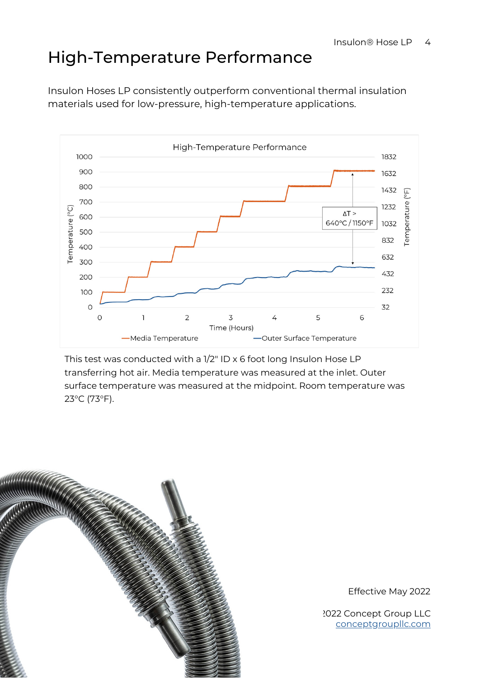## High-Temperature Performance

Insulon Hoses LP consistently outperform conventional thermal insulation materials used for low-pressure, high-temperature applications.



This test was conducted with a 1/2" ID x 6 foot long Insulon Hose LP transferring hot air. Media temperature was measured at the inlet. Outer surface temperature was measured at the midpoint. Room temperature was 23°C (73°F).



Effective May 2022

[conceptgroupllc.com](https://conceptgroupllc.com/?Ls=Other&Ld=standard%20hose%20data%20sheet%20pdf%20may%202022&utm_source=data%20sheet&utm_medium=pdf&utm_campaign=Standard%20Tubing&utm_term=standard%20hoses&utm_content=effective%20may%202022) © 2022 Concept Group LLC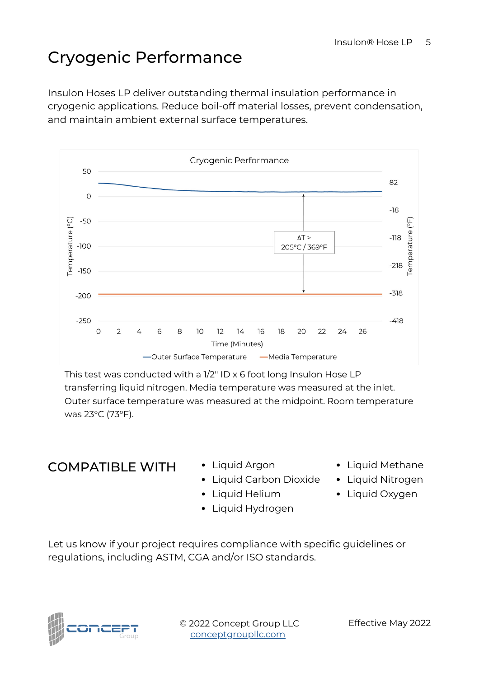# Cryogenic Performance

Insulon Hoses LP deliver outstanding thermal insulation performance in cryogenic applications. Reduce boil-off material losses, prevent condensation, and maintain ambient external surface temperatures.



This test was conducted with a 1/2" ID x 6 foot long Insulon Hose LP transferring liquid nitrogen. Media temperature was measured at the inlet. Outer surface temperature was measured at the midpoint. Room temperature was 23°C (73°F).

#### COMPATIBLE WITH · Liquid Argon

- 
- Liquid Carbon Dioxide
- Liquid Helium
- Liquid Hydrogen
- Liquid Methane
- Liquid Nitrogen
- Liquid Oxygen

Let us know if your project requires compliance with specific guidelines or regulations, including ASTM, CGA and/or ISO standards.

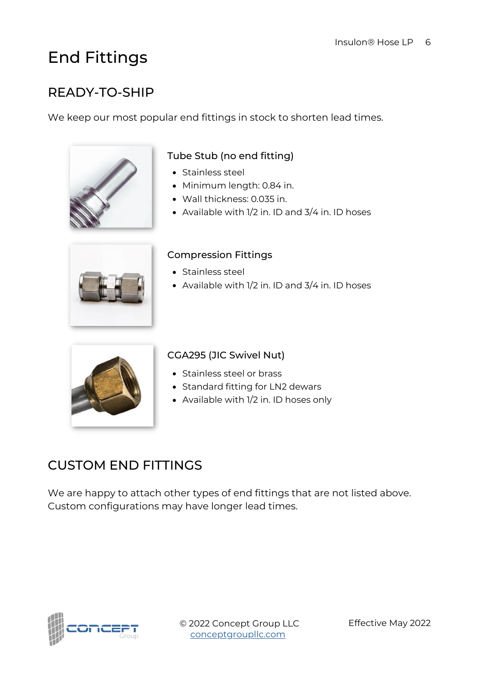## End Fittings

#### READY-TO-SHIP

We keep our most popular end fittings in stock to shorten lead times.



#### Tube Stub (no end fitting)

- Stainless steel
- Minimum length: 0.84 in.
- Wall thickness: 0.035 in.
- Available with 1/2 in. ID and 3/4 in. ID hoses



#### Compression Fittings

- Stainless steel
- Available with 1/2 in. ID and 3/4 in. ID hoses



#### CGA295 (JIC Swivel Nut)

- Stainless steel or brass
- Standard fitting for LN2 dewars
- Available with 1/2 in. ID hoses only

#### CUSTOM END FITTINGS

We are happy to attach other types of end fittings that are not listed above. Custom configurations may have longer lead times.